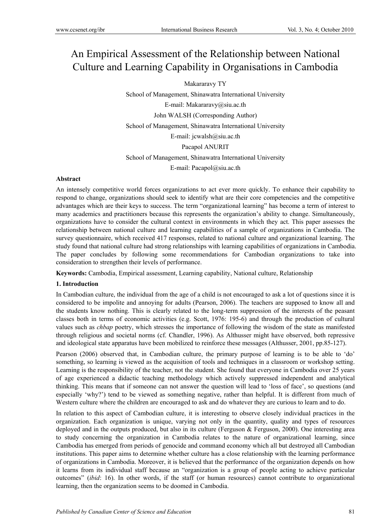# An Empirical Assessment of the Relationship between National Culture and Learning Capability in Organisations in Cambodia

Makararavy TY

School of Management, Shinawatra International University E-mail: Makararavy@siu.ac.th John WALSH (Corresponding Author) School of Management, Shinawatra International University E-mail: jcwalsh@siu.ac.th Pacapol ANURIT School of Management, Shinawatra International University E-mail: Pacapol@siu.ac.th

## **Abstract**

An intensely competitive world forces organizations to act ever more quickly. To enhance their capability to respond to change, organizations should seek to identify what are their core competencies and the competitive advantages which are their keys to success. The term "organizational learning" has become a term of interest to many academics and practitioners because this represents the organization's ability to change. Simultaneously, organizations have to consider the cultural context in environments in which they act. This paper assesses the relationship between national culture and learning capabilities of a sample of organizations in Cambodia. The survey questionnaire, which received 417 responses, related to national culture and organizational learning. The study found that national culture had strong relationships with learning capabilities of organizations in Cambodia. The paper concludes by following some recommendations for Cambodian organizations to take into consideration to strengthen their levels of performance.

**Keywords:** Cambodia, Empirical assessment, Learning capability, National culture, Relationship

## **1. Introduction**

In Cambodian culture, the individual from the age of a child is not encouraged to ask a lot of questions since it is considered to be impolite and annoying for adults (Pearson, 2006). The teachers are supposed to know all and the students know nothing. This is clearly related to the long-term suppression of the interests of the peasant classes both in terms of economic activities (e.g. Scott, 1976: 195-6) and through the production of cultural values such as *chbap* poetry, which stresses the importance of following the wisdom of the state as manifested through religious and societal norms (cf. Chandler, 1996). As Althusser might have observed, both repressive and ideological state apparatus have been mobilized to reinforce these messages (Althusser, 2001, pp.85-127).

Pearson (2006) observed that, in Cambodian culture, the primary purpose of learning is to be able to 'do' something, so learning is viewed as the acquisition of tools and techniques in a classroom or workshop setting. Learning is the responsibility of the teacher, not the student. She found that everyone in Cambodia over 25 years of age experienced a didactic teaching methodology which actively suppressed independent and analytical thinking. This means that if someone can not answer the question will lead to 'loss of face', so questions (and especially 'why?') tend to be viewed as something negative, rather than helpful. It is different from much of Western culture where the children are encouraged to ask and do whatever they are curious to learn and to do.

In relation to this aspect of Cambodian culture, it is interesting to observe closely individual practices in the organization. Each organization is unique, varying not only in the quantity, quality and types of resources deployed and in the outputs produced, but also in its culture (Ferguson & Ferguson, 2000). One interesting area to study concerning the organization in Cambodia relates to the nature of organizational learning, since Cambodia has emerged from periods of genocide and command economy which all but destroyed all Cambodian institutions. This paper aims to determine whether culture has a close relationship with the learning performance of organizations in Cambodia. Moreover, it is believed that the performance of the organization depends on how it learns from its individual staff because an "organization is a group of people acting to achieve particular outcomes" (*ibid*: 16). In other words, if the staff (or human resources) cannot contribute to organizational learning, then the organization seems to be doomed in Cambodia.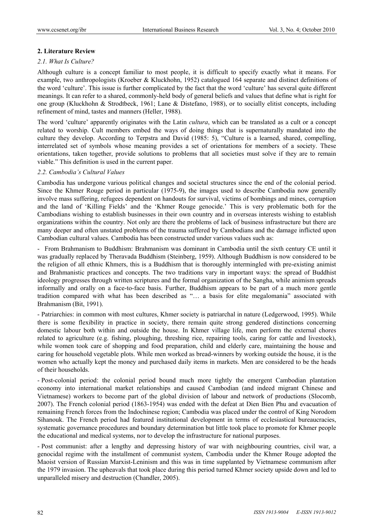# **2. Literature Review**

## *2.1. What Is Culture?*

Although culture is a concept familiar to most people, it is difficult to specify exactly what it means. For example, two anthropologists (Kroeber & Kluckhohn, 1952) catalogued 164 separate and distinct definitions of the word 'culture'. This issue is further complicated by the fact that the word 'culture' has several quite different meanings. It can refer to a shared, commonly-held body of general beliefs and values that define what is right for one group (Kluckhohn & Strodtbeck, 1961; Lane & Distefano, 1988), or to socially elitist concepts, including refinement of mind, tastes and manners (Heller, 1988).

The word 'culture' apparently originates with the Latin *cultura*, which can be translated as a cult or a concept related to worship. Cult members embed the ways of doing things that is supernaturally mandated into the culture they develop. According to Terpstra and David (1985: 5), "Culture is a learned, shared, compelling, interrelated set of symbols whose meaning provides a set of orientations for members of a society. These orientations, taken together, provide solutions to problems that all societies must solve if they are to remain viable." This definition is used in the current paper.

## *2.2. Cambodia's Cultural Values*

Cambodia has undergone various political changes and societal structures since the end of the colonial period. Since the Khmer Rouge period in particular (1975-9), the images used to describe Cambodia now generally involve mass suffering, refugees dependent on handouts for survival, victims of bombings and mines, corruption and the land of 'Killing Fields' and the 'Khmer Rouge genocide.' This is very problematic both for the Cambodians wishing to establish businesses in their own country and in overseas interests wishing to establish organizations within the country. Not only are there the problems of lack of business infrastructure but there are many deeper and often unstated problems of the trauma suffered by Cambodians and the damage inflicted upon Cambodian cultural values. Cambodia has been constructed under various values such as:

- From Brahmanism to Buddhism: Brahmanism was dominant in Cambodia until the sixth century CE until it was gradually replaced by Theravada Buddhism (Steinberg, 1959). Although Buddhism is now considered to be the religion of all ethnic Khmers, this is a Buddhism that is thoroughly intermingled with pre-existing animist and Brahmanistic practices and concepts. The two traditions vary in important ways: the spread of Buddhist ideology progresses through written scriptures and the formal organization of the Sangha, while animism spreads informally and orally on a face-to-face basis. Further, Buddhism appears to be part of a much more gentle tradition compared with what has been described as "… a basis for elite megalomania" associated with Brahmanism (Bit, 1991).

- Patriarchies: in common with most cultures, Khmer society is patriarchal in nature (Ledgerwood, 1995). While there is some flexibility in practice in society, there remain quite strong gendered distinctions concerning domestic labour both within and outside the house. In Khmer village life, men perform the external chores related to agriculture (e.g. fishing, ploughing, threshing rice, repairing tools, caring for cattle and livestock), while women took care of shopping and food preparation, child and elderly care, maintaining the house and caring for household vegetable plots. While men worked as bread-winners by working outside the house, it is the women who actually kept the money and purchased daily items in markets. Men are considered to be the heads of their households.

- Post-colonial period: the colonial period bound much more tightly the emergent Cambodian plantation economy into international market relationships and caused Cambodian (and indeed migrant Chinese and Vietnamese) workers to become part of the global division of labour and network of productions (Slocomb, 2007). The French colonial period (1863-1954) was ended with the defeat at Dien Bien Phu and evacuation of remaining French forces from the Indochinese region; Cambodia was placed under the control of King Norodom Sihanouk. The French period had featured institutional development in terms of ecclesiastical bureaucracies, systematic governance procedures and boundary determination but little took place to promote for Khmer people the educational and medical systems, nor to develop the infrastructure for national purposes.

- Post communist: after a lengthy and depressing history of war with neighbouring countries, civil war, a genocidal regime with the installment of communist system, Cambodia under the Khmer Rouge adopted the Maoist version of Russian Marxist-Leninism and this was in time supplanted by Vietnamese communism after the 1979 invasion. The upheavals that took place during this period turned Khmer society upside down and led to unparalleled misery and destruction (Chandler, 2005).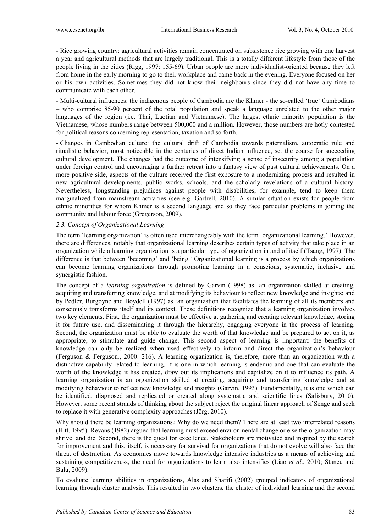- Rice growing country: agricultural activities remain concentrated on subsistence rice growing with one harvest a year and agricultural methods that are largely traditional. This is a totally different lifestyle from those of the people living in the cities (Rigg, 1997: 155-69). Urban people are more individualist-oriented because they left from home in the early morning to go to their workplace and came back in the evening. Everyone focused on her or his own activities. Sometimes they did not know their neighbours since they did not have any time to communicate with each other.

- Multi-cultural influences: the indigenous people of Cambodia are the Khmer - the so-called 'true' Cambodians – who comprise 85-90 percent of the total population and speak a language unrelated to the other major languages of the region (i.e. Thai, Laotian and Vietnamese). The largest ethnic minority population is the Vietnamese, whose numbers range between 500,000 and a million. However, those numbers are hotly contested for political reasons concerning representation, taxation and so forth.

- Changes in Cambodian culture: the cultural drift of Cambodia towards paternalism, autocratic rule and ritualistic behavior, most noticeable in the centuries of direct Indian influence, set the course for succeeding cultural development. The changes had the outcome of intensifying a sense of insecurity among a population under foreign control and encouraging a further retreat into a fantasy view of past cultural achievements. On a more positive side, aspects of the culture received the first exposure to a modernizing process and resulted in new agricultural developments, public works, schools, and the scholarly revelations of a cultural history. Nevertheless, longstanding prejudices against people with disabilities, for example, tend to keep them marginalized from mainstream activities (see e.g. Gartrell, 2010). A similar situation exists for people from ethnic minorities for whom Khmer is a second language and so they face particular problems in joining the community and labour force (Gregerson, 2009).

# *2.3. Concept of Organizational Learning*

The term 'learning organization' is often used interchangeably with the term 'organizational learning.' However, there are differences, notably that organizational learning describes certain types of activity that take place in an organization while a learning organization is a particular type of organization in and of itself (Tsang, 1997). The difference is that between 'becoming' and 'being.' Organizational learning is a process by which organizations can become learning organizations through promoting learning in a conscious, systematic, inclusive and synergistic fashion.

The concept of a *learning organization* is defined by Garvin (1998) as 'an organization skilled at creating, acquiring and transferring knowledge, and at modifying its behaviour to reflect new knowledge and insights; and by Pedler, Burgoyne and Boydell (1997) as 'an organization that facilitates the learning of all its members and consciously transforms itself and its context. These definitions recognize that a learning organization involves two key elements. First, the organization must be effective at gathering and creating relevant knowledge, storing it for future use, and disseminating it through the hierarchy, engaging everyone in the process of learning. Second, the organization must be able to evaluate the worth of that knowledge and be prepared to act on it, as appropriate, to stimulate and guide change. This second aspect of learning is important: the benefits of knowledge can only be realized when used effectively to inform and direct the organization's behaviour (Ferguson & Ferguson*.*, 2000: 216). A learning organization is, therefore, more than an organization with a distinctive capability related to learning. It is one in which learning is endemic and one that can evaluate the worth of the knowledge it has created, draw out its implications and capitalize on it to influence its path. A learning organization is an organization skilled at creating, acquiring and transferring knowledge and at modifying behaviour to reflect new knowledge and insights (Garvin, 1993). Fundamentally, it is one which can be identified, diagnosed and replicated or created along systematic and scientific lines (Salisbury, 2010). However, some recent strands of thinking about the subject reject the original linear approach of Senge and seek to replace it with generative complexity approaches (Jörg, 2010).

Why should there be learning organizations? Why do we need them? There are at least two interrelated reasons (Hitt, 1995). Revans (1982) argued that learning must exceed environmental change or else the organization may shrivel and die. Second, there is the quest for excellence. Stakeholders are motivated and inspired by the search for improvement and this, itself, is necessary for survival for organizations that do not evolve will also face the threat of destruction. As economies move towards knowledge intensive industries as a means of achieving and sustaining competitiveness, the need for organizations to learn also intensifies (Liao *et al*., 2010; Stancu and Balu, 2009).

To evaluate learning abilities in organizations, Alas and Sharifi (2002) grouped indicators of organizational learning through cluster analysis. This resulted in two clusters, the cluster of individual learning and the second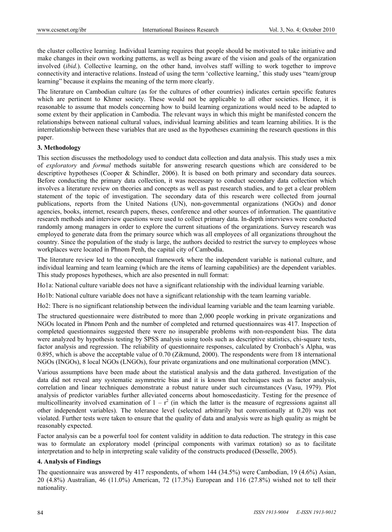the cluster collective learning. Individual learning requires that people should be motivated to take initiative and make changes in their own working patterns, as well as being aware of the vision and goals of the organization involved (*ibid.*). Collective learning, on the other hand, involves staff willing to work together to improve connectivity and interactive relations. Instead of using the term 'collective learning,' this study uses "team/group learning" because it explains the meaning of the term more clearly.

The literature on Cambodian culture (as for the cultures of other countries) indicates certain specific features which are pertinent to Khmer society. These would not be applicable to all other societies. Hence, it is reasonable to assume that models concerning how to build learning organizations would need to be adapted to some extent by their application in Cambodia. The relevant ways in which this might be manifested concern the relationships between national cultural values, individual learning abilities and team learning abilities. It is the interrelationship between these variables that are used as the hypotheses examining the research questions in this paper.

## **3. Methodology**

This section discusses the methodology used to conduct data collection and data analysis. This study uses a mix of *exploratory* and *formal* methods suitable for answering research questions which are considered to be descriptive hypotheses (Cooper & Schindler, 2006). It is based on both primary and secondary data sources. Before conducting the primary data collection, it was necessary to conduct secondary data collection which involves a literature review on theories and concepts as well as past research studies, and to get a clear problem statement of the topic of investigation. The secondary data of this research were collected from journal publications, reports from the United Nations (UN), non-governmental organizations (NGOs) and donor agencies, books, internet, research papers, theses, conference and other sources of information. The quantitative research methods and interview questions were used to collect primary data. In-depth interviews were conducted randomly among managers in order to explore the current situations of the organizations. Survey research was employed to generate data from the primary source which was all employees of all organizations throughout the country. Since the population of the study is large, the authors decided to restrict the survey to employees whose workplaces were located in Phnom Penh, the capital city of Cambodia.

The literature review led to the conceptual framework where the independent variable is national culture, and individual learning and team learning (which are the items of learning capabilities) are the dependent variables. This study proposes hypotheses, which are also presented in null format:

Ho1a: National culture variable does not have a significant relationship with the individual learning variable.

Ho1b: National culture variable does not have a significant relationship with the team learning variable.

Ho2: There is no significant relationship between the individual learning variable and the team learning variable.

The structured questionnaire were distributed to more than 2,000 people working in private organizations and NGOs located in Phnom Penh and the number of completed and returned questionnaires was 417. Inspection of completed questionnaires suggested there were no insuperable problems with non-respondent bias. The data were analyzed by hypothesis testing by SPSS analysis using tools such as descriptive statistics, chi-square tests, factor analysis and regression. The reliability of questionnaire responses, calculated by Cronbach's Alpha, was 0.895, which is above the acceptable value of 0.70 (Zikmund, 2000). The respondents were from 18 international NGOs (INGOs), 8 local NGOs (LNGOs), four private organizations and one multinational corporation (MNC).

Various assumptions have been made about the statistical analysis and the data gathered. Investigation of the data did not reveal any systematic asymmetric bias and it is known that techniques such as factor analysis, correlation and linear techniques demonstrate a robust nature under such circumstances (Vasu, 1979). Plot analysis of predictor variables further alleviated concerns about homoscedasticity. Testing for the presence of multicollinearity involved examination of  $1 - r^2$  (in which the latter is the measure of regressions against all other independent variables). The tolerance level (selected arbitrarily but conventionally at 0.20) was not violated. Further tests were taken to ensure that the quality of data and analysis were as high quality as might be reasonably expected.

Factor analysis can be a powerful tool for content validity in addition to data reduction. The strategy in this case was to formulate an exploratory model (principal components with varimax rotation) so as to facilitate interpretation and to help in interpreting scale validity of the constructs produced (Desselle, 2005).

#### **4. Analysis of Findings**

The questionnaire was answered by 417 respondents, of whom 144 (34.5%) were Cambodian, 19 (4.6%) Asian, 20 (4.8%) Australian, 46 (11.0%) American, 72 (17.3%) European and 116 (27.8%) wished not to tell their nationality.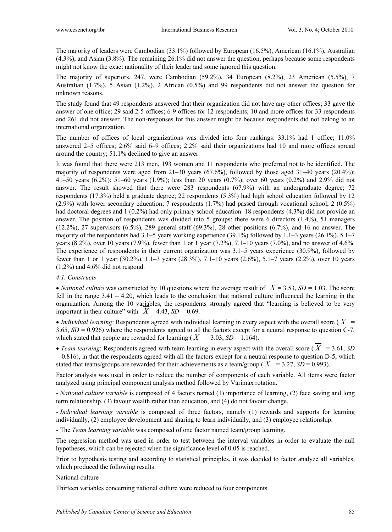The majority of leaders were Cambodian (33.1%) followed by European (16.5%), American (16.1%), Australian (4.3%), and Asian (3.8%). The remaining 26.1% did not answer the question, perhaps because some respondents might not know the exact nationality of their leader and some ignored this question.

The majority of superiors, 247, were Cambodian (59.2%), 34 European (8.2%), 23 American (5.5%), 7 Australian (1.7%), 5 Asian (1.2%), 2 African (0.5%) and 99 respondents did not answer the question for unknown reasons.

The study found that 49 respondents answered that their organization did not have any other offices; 33 gave the answer of one office; 29 said 2-5 offices; 6-9 offices for 12 respondents; 10 and more offices for 33 respondents and 261 did not answer. The non-responses for this answer might be because respondents did not belong to an international organization.

The number of offices of local organizations was divided into four rankings: 33.1% had 1 office; 11.0% answered 2–5 offices; 2.6% said 6–9 offices; 2.2% said their organizations had 10 and more offices spread around the country; 51.1% declined to give an answer.

It was found that there were 213 men, 193 women and 11 respondents who preferred not to be identified. The majority of respondents were aged from  $21-30$  years  $(67.6%)$ , followed by those aged  $31-40$  years  $(20.4%)$ ; 41–50 years (6.2%); 51–60 years (1.9%); less than 20 years (0.7%); over 60 years (0.2%) and 2.9% did not answer. The result showed that there were 283 respondents (67.9%) with an undergraduate degree; 72 respondents (17.3%) held a graduate degree; 22 respondents (5.3%) had high school education followed by 12 (2.9%) with lower secondary education; 7 respondents (1.7%) had passed through vocational school; 2 (0.5%) had doctoral degrees and 1 (0.2%) had only primary school education. 18 respondents (4.3%) did not provide an answer. The position of respondents was divided into 5 groups: there were 6 directors (1.4%), 51 managers  $(12.2\%)$ , 27 supervisors  $(6.5\%)$ , 289 general staff  $(69.3\%)$ , 28 other positions  $(6.7\%)$ , and 16 no answer. The majority of the respondents had 3.1–5 years working experience (39.1%) followed by 1.1–3 years (26.1%), 5.1–7 years (8.2%), over 10 years (7.9%), fewer than 1 or 1 year (7.2%), 7.1–10 years (7.0%), and no answer of 4.6%. The experience of respondents in their current organization was 3.1–5 years experience (30.9%), followed by fewer than 1 or 1 year (30.2%), 1.1–3 years (28.3%), 7.1–10 years (2.6%), 5.1–7 years (2.2%), over 10 years (1.2%) and 4.6% did not respond.

## *4.1. Constructs*

• *National culture* was constructed by 10 questions where the average result of  $\overline{X} = 3.53$ , *SD* = 1.03. The score fell in the range  $3.41 - 4.20$ , which leads to the conclusion that national culture influenced the learning in the organization. Among the 10 variables, the respondents strongly agreed that "learning is believed to be very important in their culture" with  $X = 4.43$ ,  $SD = 0.69$ .

• *Individual learning*: Respondents agreed with individual learning in every aspect with the overall score ( $X =$ 3.65, *SD* = 0.926) where the respondents agreed to all the factors except for a neutral response to question C-7, which stated that people are rewarded for learning ( $\hat{X} = 3.03$ ,  $SD = 1.164$ ).

• *Team learning*: Respondents agreed with team learning in every aspect with the overall score ( $X = 3.61$ , *SD*  $= 0.816$ ), in that the respondents agreed with all the factors except for a neutral response to question D-5, which stated that teams/groups are rewarded for their achievements as a team/group ( $X = 3.27$ ,  $SD = 0.993$ ).

Factor analysis was used in order to reduce the number of components of each variable. All items were factor analyzed using principal component analysis method followed by Varimax rotation.

- *National culture variable* is composed of 4 factors named (1) importance of learning, (2) face saving and long term relationship, (3) favour wealth rather than education, and (4) do not favour change.

- *Individual learning variable* is composed of three factors, namely (1) rewards and supports for learning individually, (2) employee development and sharing to learn individually, and (3) employee relationship.

- The *Team learning variable* was composed of one factor named team/group learning.

The regression method was used in order to test between the interval variables in order to evaluate the null hypotheses, which can be rejected when the significance level of 0.05 is reached.

Prior to hypothesis testing and according to statistical principles, it was decided to factor analyze all variables, which produced the following results:

National culture

Thirteen variables concerning national culture were reduced to four components.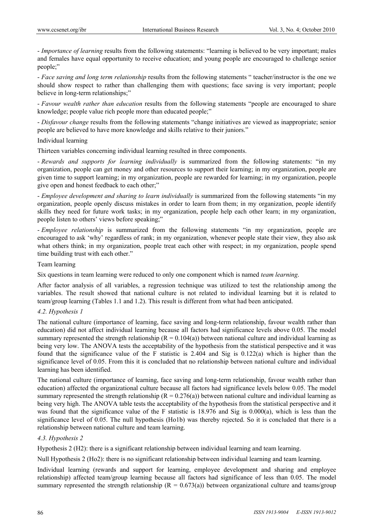- *Importance of learning* results from the following statements: "learning is believed to be very important; males and females have equal opportunity to receive education; and young people are encouraged to challenge senior people;"

- *Face saving and long term relationship* results from the following statements " teacher/instructor is the one we should show respect to rather than challenging them with questions; face saving is very important; people believe in long-term relationships;"

- *Favour wealth rather than education* results from the following statements "people are encouraged to share knowledge; people value rich people more than educated people;"

- *Disfavour change* results from the following statements "change initiatives are viewed as inappropriate; senior people are believed to have more knowledge and skills relative to their juniors."

## Individual learning

Thirteen variables concerning individual learning resulted in three components.

- *Rewards and supports for learning individually* is summarized from the following statements: "in my organization, people can get money and other resources to support their learning; in my organization, people are given time to support learning; in my organization, people are rewarded for learning; in my organization, people give open and honest feedback to each other;"

- *Employee development and sharing to learn individually* is summarized from the following statements "in my organization, people openly discuss mistakes in order to learn from them; in my organization, people identify skills they need for future work tasks; in my organization, people help each other learn; in my organization, people listen to others' views before speaking;"

- *Employee relationship* is summarized from the following statements "in my organization, people are encouraged to ask 'why' regardless of rank; in my organization, whenever people state their view, they also ask what others think; in my organization, people treat each other with respect; in my organization, people spend time building trust with each other."

#### Team learning

Six questions in team learning were reduced to only one component which is named *team learning*.

After factor analysis of all variables, a regression technique was utilized to test the relationship among the variables. The result showed that national culture is not related to individual learning but it is related to team/group learning (Tables 1.1 and 1.2). This result is different from what had been anticipated.

#### *4.2. Hypothesis 1*

The national culture (importance of learning, face saving and long-term relationship, favour wealth rather than education) did not affect individual learning because all factors had significance levels above 0.05. The model summary represented the strength relationship  $(R = 0.104(a))$  between national culture and individual learning as being very low. The ANOVA tests the acceptability of the hypothesis from the statistical perspective and it was found that the significance value of the F statistic is  $2.404$  and Sig is  $0.122(a)$  which is higher than the significance level of 0.05. From this it is concluded that no relationship between national culture and individual learning has been identified.

The national culture (importance of learning, face saving and long-term relationship, favour wealth rather than education) affected the organizational culture because all factors had significance levels below 0.05. The model summary represented the strength relationship  $(R = 0.276(a))$  between national culture and individual learning as being very high. The ANOVA table tests the acceptability of the hypothesis from the statistical perspective and it was found that the significance value of the F statistic is 18.976 and Sig is 0.000(a), which is less than the significance level of 0.05. The null hypothesis (Ho1b) was thereby rejected. So it is concluded that there is a relationship between national culture and team learning.

#### *4.3. Hypothesis 2*

Hypothesis 2 (H2): there is a significant relationship between individual learning and team learning.

Null Hypothesis 2 (Ho2): there is no significant relationship between individual learning and team learning.

Individual learning (rewards and support for learning, employee development and sharing and employee relationship) affected team/group learning because all factors had significance of less than 0.05. The model summary represented the strength relationship ( $R = 0.673(a)$ ) between organizational culture and teams/group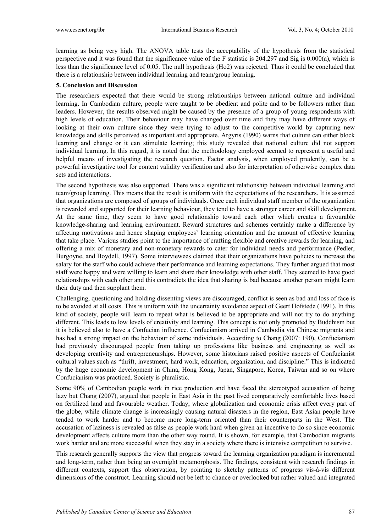learning as being very high. The ANOVA table tests the acceptability of the hypothesis from the statistical perspective and it was found that the significance value of the F statistic is 204.297 and Sig is 0.000(a), which is less than the significance level of 0.05. The null hypothesis (Ho2) was rejected. Thus it could be concluded that there is a relationship between individual learning and team/group learning.

## **5. Conclusion and Discussion**

The researchers expected that there would be strong relationships between national culture and individual learning. In Cambodian culture, people were taught to be obedient and polite and to be followers rather than leaders. However, the results observed might be caused by the presence of a group of young respondents with high levels of education. Their behaviour may have changed over time and they may have different ways of looking at their own culture since they were trying to adjust to the competitive world by capturing new knowledge and skills perceived as important and appropriate. Argyris (1990) warns that culture can either block learning and change or it can stimulate learning; this study revealed that national culture did not support individual learning. In this regard, it is noted that the methodology employed seemed to represent a useful and helpful means of investigating the research question. Factor analysis, when employed prudently, can be a powerful investigative tool for content validity verification and also for interpretation of otherwise complex data sets and interactions.

The second hypothesis was also supported. There was a significant relationship between individual learning and team/group learning. This means that the result is uniform with the expectations of the researchers. It is assumed that organizations are composed of groups of individuals. Once each individual staff member of the organization is rewarded and supported for their learning behaviour, they tend to have a stronger career and skill development. At the same time, they seem to have good relationship toward each other which creates a favourable knowledge-sharing and learning environment. Reward structures and schemes certainly make a difference by affecting motivations and hence shaping employees' learning orientation and the amount of effective learning that take place. Various studies point to the importance of crafting flexible and creative rewards for learning, and offering a mix of monetary and non-monetary rewards to cater for individual needs and performance (Pedler, Burgoyne, and Boydell, 1997). Some interviewees claimed that their organizations have policies to increase the salary for the staff who could achieve their performance and learning expectations. They further argued that most staff were happy and were willing to learn and share their knowledge with other staff. They seemed to have good relationships with each other and this contradicts the idea that sharing is bad because another person might learn their duty and then supplant them.

Challenging, questioning and holding dissenting views are discouraged, conflict is seen as bad and loss of face is to be avoided at all costs. This is uniform with the uncertainty avoidance aspect of Geert Hofstede (1991). In this kind of society, people will learn to repeat what is believed to be appropriate and will not try to do anything different. This leads to low levels of creativity and learning. This concept is not only promoted by Buddhism but it is believed also to have a Confucian influence. Confucianism arrived in Cambodia via Chinese migrants and has had a strong impact on the behaviour of some individuals. According to Chang (2007: 190), Confucianism had previously discouraged people from taking up professions like business and engineering as well as developing creativity and entrepreneurships. However, some historians raised positive aspects of Confucianist cultural values such as "thrift, investment, hard work, education, organization, and discipline." This is indicated by the huge economic development in China, Hong Kong, Japan, Singapore, Korea, Taiwan and so on where Confucianism was practiced. Society is pluralistic.

Some 90% of Cambodian people work in rice production and have faced the stereotyped accusation of being lazy but Chang (2007), argued that people in East Asia in the past lived comparatively comfortable lives based on fertilized land and favourable weather. Today, where globalization and economic crisis affect every part of the globe, while climate change is increasingly causing natural disasters in the region, East Asian people have tended to work harder and to become more long-term oriented than their counterparts in the West. The accusation of laziness is revealed as false as people work hard when given an incentive to do so since economic development affects culture more than the other way round. It is shown, for example, that Cambodian migrants work harder and are more successful when they stay in a society where there is intensive competition to survive.

This research generally supports the view that progress toward the learning organization paradigm is incremental and long-term, rather than being an overnight metamorphosis. The findings, consistent with research findings in different contexts, support this observation, by pointing to sketchy patterns of progress vis-à-vis different dimensions of the construct. Learning should not be left to chance or overlooked but rather valued and integrated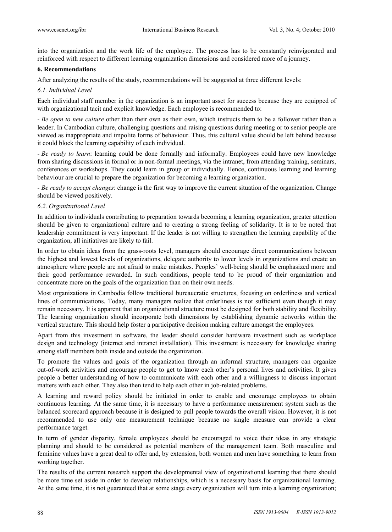into the organization and the work life of the employee. The process has to be constantly reinvigorated and reinforced with respect to different learning organization dimensions and considered more of a journey.

#### **6. Recommendations**

After analyzing the results of the study, recommendations will be suggested at three different levels:

## *6.1. Individual Level*

Each individual staff member in the organization is an important asset for success because they are equipped of with organizational tacit and explicit knowledge. Each employee is recommended to:

- *Be open to new culture* other than their own as their own, which instructs them to be a follower rather than a leader. In Cambodian culture, challenging questions and raising questions during meeting or to senior people are viewed as inappropriate and impolite forms of behaviour. Thus, this cultural value should be left behind because it could block the learning capability of each individual.

- *Be ready to learn*: learning could be done formally and informally. Employees could have new knowledge from sharing discussions in formal or in non-formal meetings, via the intranet, from attending training, seminars, conferences or workshops. They could learn in group or individually. Hence, continuous learning and learning behaviour are crucial to prepare the organization for becoming a learning organization.

- *Be ready to accept changes*: change is the first way to improve the current situation of the organization. Change should be viewed positively.

#### *6.2. Organizational Level*

In addition to individuals contributing to preparation towards becoming a learning organization, greater attention should be given to organizational culture and to creating a strong feeling of solidarity. It is to be noted that leadership commitment is very important. If the leader is not willing to strengthen the learning capability of the organization, all initiatives are likely to fail.

In order to obtain ideas from the grass-roots level, managers should encourage direct communications between the highest and lowest levels of organizations, delegate authority to lower levels in organizations and create an atmosphere where people are not afraid to make mistakes. Peoples' well-being should be emphasized more and their good performance rewarded. In such conditions, people tend to be proud of their organization and concentrate more on the goals of the organization than on their own needs.

Most organizations in Cambodia follow traditional bureaucratic structures, focusing on orderliness and vertical lines of communications. Today, many managers realize that orderliness is not sufficient even though it may remain necessary. It is apparent that an organizational structure must be designed for both stability and flexibility. The learning organization should incorporate both dimensions by establishing dynamic networks within the vertical structure. This should help foster a participative decision making culture amongst the employees.

Apart from this investment in software, the leader should consider hardware investment such as workplace design and technology (internet and intranet installation). This investment is necessary for knowledge sharing among staff members both inside and outside the organization.

To promote the values and goals of the organization through an informal structure, managers can organize out-of-work activities and encourage people to get to know each other's personal lives and activities. It gives people a better understanding of how to communicate with each other and a willingness to discuss important matters with each other. They also then tend to help each other in job-related problems.

A learning and reward policy should be initiated in order to enable and encourage employees to obtain continuous learning. At the same time, it is necessary to have a performance measurement system such as the balanced scorecard approach because it is designed to pull people towards the overall vision. However, it is not recommended to use only one measurement technique because no single measure can provide a clear performance target.

In term of gender disparity, female employees should be encouraged to voice their ideas in any strategic planning and should to be considered as potential members of the management team. Both masculine and feminine values have a great deal to offer and, by extension, both women and men have something to learn from working together.

The results of the current research support the developmental view of organizational learning that there should be more time set aside in order to develop relationships, which is a necessary basis for organizational learning. At the same time, it is not guaranteed that at some stage every organization will turn into a learning organization;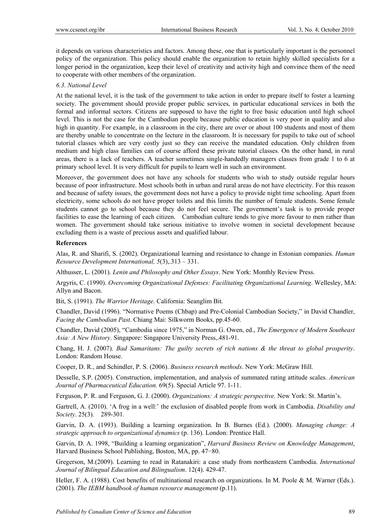it depends on various characteristics and factors. Among these, one that is particularly important is the personnel policy of the organization. This policy should enable the organization to retain highly skilled specialists for a longer period in the organization, keep their level of creativity and activity high and convince them of the need to cooperate with other members of the organization.

## *6.3. National Level*

At the national level, it is the task of the government to take action in order to prepare itself to foster a learning society. The government should provide proper public services, in particular educational services in both the formal and informal sectors. Citizens are supposed to have the right to free basic education until high school level. This is not the case for the Cambodian people because public education is very poor in quality and also high in quantity. For example, in a classroom in the city, there are over or about 100 students and most of them are thereby unable to concentrate on the lecture in the classroom. It is necessary for pupils to take out of school tutorial classes which are very costly just so they can receive the mandated education. Only children from medium and high class families can of course afford these private tutorial classes. On the other hand, in rural areas, there is a lack of teachers. A teacher sometimes single-handedly managers classes from grade 1 to 6 at primary school level. It is very difficult for pupils to learn well in such an environment.

Moreover, the government does not have any schools for students who wish to study outside regular hours because of poor infrastructure. Most schools both in urban and rural areas do not have electricity. For this reason and because of safety issues, the government does not have a policy to provide night time schooling. Apart from electricity, some schools do not have proper toilets and this limits the number of female students. Some female students cannot go to school because they do not feel secure. The government's task is to provide proper facilities to ease the learning of each citizen. Cambodian culture tends to give more favour to men rather than women. The government should take serious initiative to involve women in societal development because excluding them is a waste of precious assets and qualified labour.

#### **References**

Alas, R. and Sharifi, S. (2002). Organizational learning and resistance to change in Estonian companies. *Human Resource Development International, 5*(3),.313 – 331.

Althusser, L. (2001). *Lenin and Philosophy and Other Essays*. New York: Monthly Review Press.

Argyris, C. (1990). *Overcoming Organizational Defenses: Facilitating Organizational Learning*. Wellesley, MA: Allyn and Bacon.

Bit, S. (1991). *The Warrior Heritage.* California: Seanglim Bit.

Chandler, David (1996). "Normative Poems (Chbap) and Pre-Colonial Cambodian Society," in David Chandler, *Facing the Cambodian Past*. Chiang Mai: Silkworm Books, pp.45-60.

Chandler, David (2005), "Cambodia since 1975," in Norman G. Owen, ed., *The Emergence of Modern Southeast Asia: A New History*. Singapore: Singapore University Press,.481-91.

Chang, H. J. (2007). *Bad Samaritans: The guilty secrets of rich nations & the threat to global prosperity*. London: Random House.

Cooper, D. R., and Schindler, P. S. (2006). *Business research methods*. New York: McGraw Hill.

Desselle, S.P. (2005). Construction, implementation, and analysis of summated rating attitude scales. *American Journal of Pharmaceutical Education.* 69(5). Special Article 97. 1-11.

Ferguson, P. R. and Ferguson, G. J. (2000). *Organizations: A strategic perspective.* New York: St. Martin's.

Gartrell, A. (2010). 'A frog in a well:' the exclusion of disabled people from work in Cambodia. *Disability and Society*. 25(3). 289-301.

Garvin, D. A. (1993). Building a learning organization. In B. Burnes (Ed.). (2000). *Managing change: A strategic approach to organizational dynamics* (p. 136). London: Prentice Hall.

Garvin, D. A. 1998, "Building a learning organization", *Harvard Business Review on Knowledge Management*, Harvard Business School Publishing, Boston, MA, pp. 47−80.

Gregerson, M.(2009). Learning to read in Ratanakiri: a case study from northeastern Cambodia. *International Journal of Bilingual Education and Bilingualism*. 12(4). 429-47.

Heller, F. A. (1988). Cost benefits of multinational research on organizations. In M. Poole & M. Warner (Eds.). (2001). *The IEBM handbook of human resource management* (p.11).